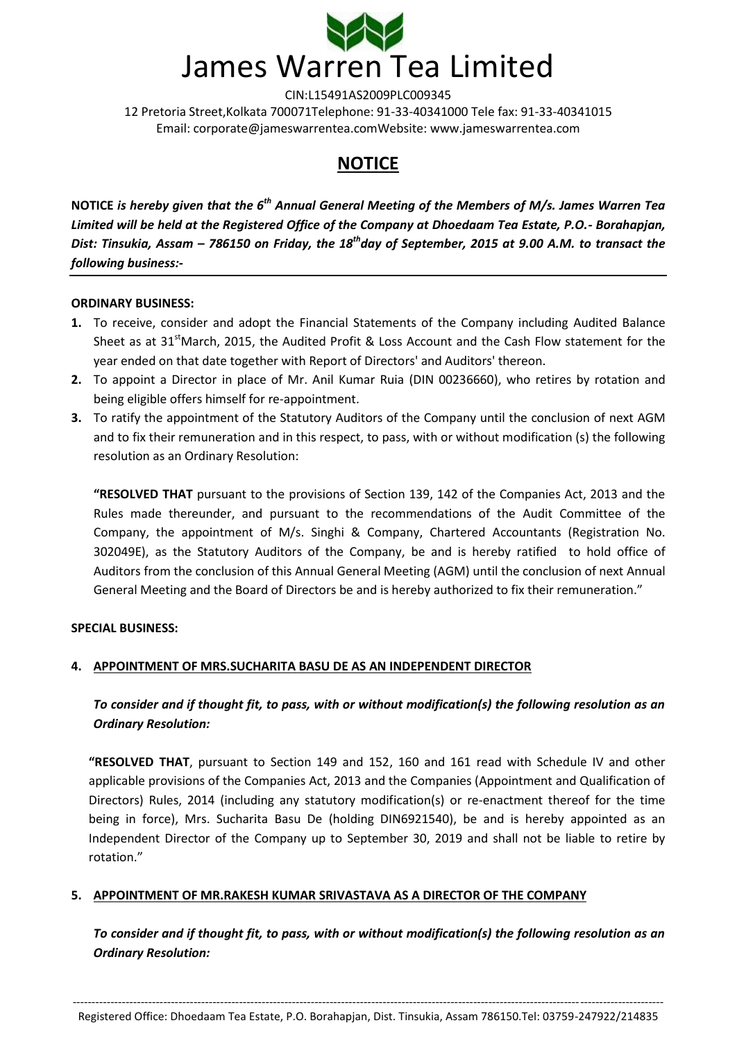

# **NOTICE**

**NOTICE** *is hereby given that the 6th Annual General Meeting of the Members of M/s. James Warren Tea Limited will be held at the Registered Office of the Company at Dhoedaam Tea Estate, P.O.- Borahapjan, Dist: Tinsukia, Assam – 786150 on Friday, the 18thday of September, 2015 at 9.00 A.M. to transact the following business:-*

#### **ORDINARY BUSINESS:**

- **1.** To receive, consider and adopt the Financial Statements of the Company including Audited Balance Sheet as at 31<sup>st</sup>March, 2015, the Audited Profit & Loss Account and the Cash Flow statement for the year ended on that date together with Report of Directors' and Auditors' thereon.
- **2.** To appoint a Director in place of Mr. Anil Kumar Ruia (DIN 00236660), who retires by rotation and being eligible offers himself for re-appointment.
- **3.** To ratify the appointment of the Statutory Auditors of the Company until the conclusion of next AGM and to fix their remuneration and in this respect, to pass, with or without modification (s) the following resolution as an Ordinary Resolution:

**"RESOLVED THAT** pursuant to the provisions of Section 139, 142 of the Companies Act, 2013 and the Rules made thereunder, and pursuant to the recommendations of the Audit Committee of the Company, the appointment of M/s. Singhi & Company, Chartered Accountants (Registration No. 302049E), as the Statutory Auditors of the Company, be and is hereby ratified to hold office of Auditors from the conclusion of this Annual General Meeting (AGM) until the conclusion of next Annual General Meeting and the Board of Directors be and is hereby authorized to fix their remuneration."

## **SPECIAL BUSINESS:**

## **4. APPOINTMENT OF MRS.SUCHARITA BASU DE AS AN INDEPENDENT DIRECTOR**

*To consider and if thought fit, to pass, with or without modification(s) the following resolution as an Ordinary Resolution:*

**"RESOLVED THAT**, pursuant to Section 149 and 152, 160 and 161 read with Schedule IV and other applicable provisions of the Companies Act, 2013 and the Companies (Appointment and Qualification of Directors) Rules, 2014 (including any statutory modification(s) or re-enactment thereof for the time being in force), Mrs. Sucharita Basu De (holding DIN6921540), be and is hereby appointed as an Independent Director of the Company up to September 30, 2019 and shall not be liable to retire by rotation."

## **5. APPOINTMENT OF MR.RAKESH KUMAR SRIVASTAVA AS A DIRECTOR OF THE COMPANY**

*To consider and if thought fit, to pass, with or without modification(s) the following resolution as an Ordinary Resolution:*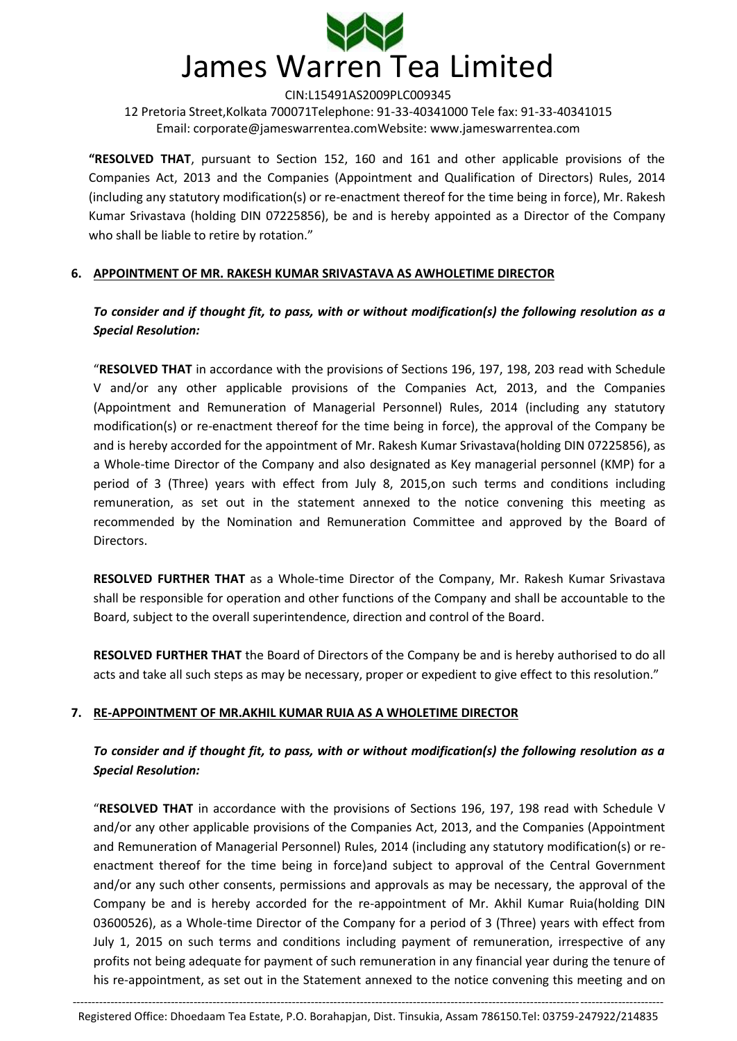

**"RESOLVED THAT**, pursuant to Section 152, 160 and 161 and other applicable provisions of the Companies Act, 2013 and the Companies (Appointment and Qualification of Directors) Rules, 2014 (including any statutory modification(s) or re-enactment thereof for the time being in force), Mr. Rakesh Kumar Srivastava (holding DIN 07225856), be and is hereby appointed as a Director of the Company who shall be liable to retire by rotation."

#### **6. APPOINTMENT OF MR. RAKESH KUMAR SRIVASTAVA AS AWHOLETIME DIRECTOR**

*To consider and if thought fit, to pass, with or without modification(s) the following resolution as a Special Resolution:*

"**RESOLVED THAT** in accordance with the provisions of Sections 196, 197, 198, 203 read with Schedule V and/or any other applicable provisions of the Companies Act, 2013, and the Companies (Appointment and Remuneration of Managerial Personnel) Rules, 2014 (including any statutory modification(s) or re-enactment thereof for the time being in force), the approval of the Company be and is hereby accorded for the appointment of Mr. Rakesh Kumar Srivastava(holding DIN 07225856), as a Whole-time Director of the Company and also designated as Key managerial personnel (KMP) for a period of 3 (Three) years with effect from July 8, 2015,on such terms and conditions including remuneration, as set out in the statement annexed to the notice convening this meeting as recommended by the Nomination and Remuneration Committee and approved by the Board of Directors.

**RESOLVED FURTHER THAT** as a Whole-time Director of the Company, Mr. Rakesh Kumar Srivastava shall be responsible for operation and other functions of the Company and shall be accountable to the Board, subject to the overall superintendence, direction and control of the Board.

**RESOLVED FURTHER THAT** the Board of Directors of the Company be and is hereby authorised to do all acts and take all such steps as may be necessary, proper or expedient to give effect to this resolution."

## **7. RE-APPOINTMENT OF MR.AKHIL KUMAR RUIA AS A WHOLETIME DIRECTOR**

# *To consider and if thought fit, to pass, with or without modification(s) the following resolution as a Special Resolution:*

"**RESOLVED THAT** in accordance with the provisions of Sections 196, 197, 198 read with Schedule V and/or any other applicable provisions of the Companies Act, 2013, and the Companies (Appointment and Remuneration of Managerial Personnel) Rules, 2014 (including any statutory modification(s) or reenactment thereof for the time being in force)and subject to approval of the Central Government and/or any such other consents, permissions and approvals as may be necessary, the approval of the Company be and is hereby accorded for the re-appointment of Mr. Akhil Kumar Ruia(holding DIN 03600526), as a Whole-time Director of the Company for a period of 3 (Three) years with effect from July 1, 2015 on such terms and conditions including payment of remuneration, irrespective of any profits not being adequate for payment of such remuneration in any financial year during the tenure of his re-appointment, as set out in the Statement annexed to the notice convening this meeting and on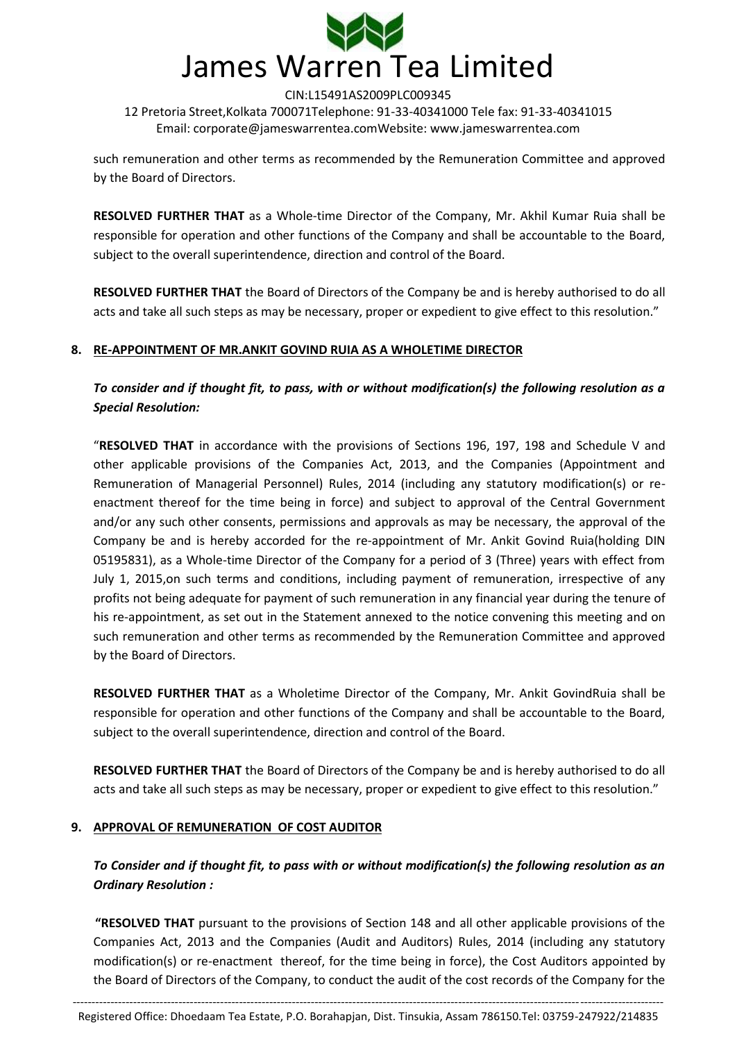

such remuneration and other terms as recommended by the Remuneration Committee and approved by the Board of Directors.

**RESOLVED FURTHER THAT** as a Whole-time Director of the Company, Mr. Akhil Kumar Ruia shall be responsible for operation and other functions of the Company and shall be accountable to the Board, subject to the overall superintendence, direction and control of the Board.

**RESOLVED FURTHER THAT** the Board of Directors of the Company be and is hereby authorised to do all acts and take all such steps as may be necessary, proper or expedient to give effect to this resolution."

## **8. RE-APPOINTMENT OF MR.ANKIT GOVIND RUIA AS A WHOLETIME DIRECTOR**

*To consider and if thought fit, to pass, with or without modification(s) the following resolution as a Special Resolution:*

"**RESOLVED THAT** in accordance with the provisions of Sections 196, 197, 198 and Schedule V and other applicable provisions of the Companies Act, 2013, and the Companies (Appointment and Remuneration of Managerial Personnel) Rules, 2014 (including any statutory modification(s) or reenactment thereof for the time being in force) and subject to approval of the Central Government and/or any such other consents, permissions and approvals as may be necessary, the approval of the Company be and is hereby accorded for the re-appointment of Mr. Ankit Govind Ruia(holding DIN 05195831), as a Whole-time Director of the Company for a period of 3 (Three) years with effect from July 1, 2015,on such terms and conditions, including payment of remuneration, irrespective of any profits not being adequate for payment of such remuneration in any financial year during the tenure of his re-appointment, as set out in the Statement annexed to the notice convening this meeting and on such remuneration and other terms as recommended by the Remuneration Committee and approved by the Board of Directors.

**RESOLVED FURTHER THAT** as a Wholetime Director of the Company, Mr. Ankit GovindRuia shall be responsible for operation and other functions of the Company and shall be accountable to the Board, subject to the overall superintendence, direction and control of the Board.

**RESOLVED FURTHER THAT** the Board of Directors of the Company be and is hereby authorised to do all acts and take all such steps as may be necessary, proper or expedient to give effect to this resolution."

## **9. APPROVAL OF REMUNERATION OF COST AUDITOR**

# *To Consider and if thought fit, to pass with or without modification(s) the following resolution as an Ordinary Resolution :*

**"RESOLVED THAT** pursuant to the provisions of Section 148 and all other applicable provisions of the Companies Act, 2013 and the Companies (Audit and Auditors) Rules, 2014 (including any statutory modification(s) or re-enactment thereof, for the time being in force), the Cost Auditors appointed by the Board of Directors of the Company, to conduct the audit of the cost records of the Company for the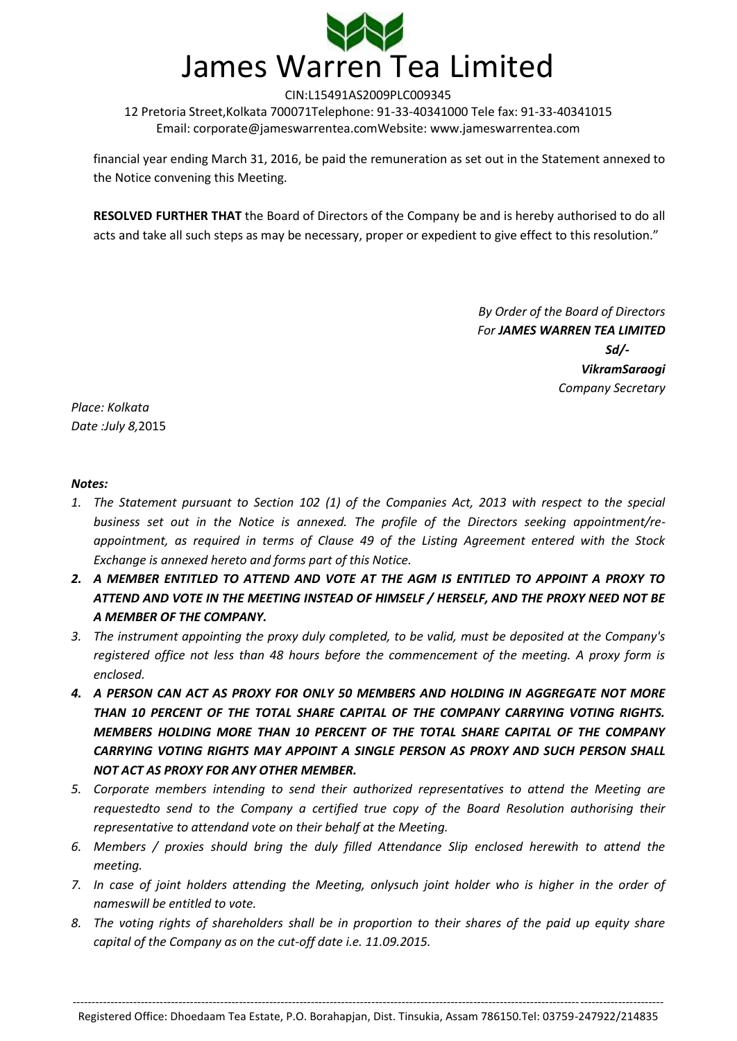

financial year ending March 31, 2016, be paid the remuneration as set out in the Statement annexed to the Notice convening this Meeting.

**RESOLVED FURTHER THAT** the Board of Directors of the Company be and is hereby authorised to do all acts and take all such steps as may be necessary, proper or expedient to give effect to this resolution."

> *By Order of the Board of Directors For JAMES WARREN TEA LIMITED Sd/- VikramSaraogi Company Secretary*

*Place: Kolkata Date :July 8,*2015

#### *Notes:*

- *1. The Statement pursuant to Section 102 (1) of the Companies Act, 2013 with respect to the special business set out in the Notice is annexed. The profile of the Directors seeking appointment/reappointment, as required in terms of Clause 49 of the Listing Agreement entered with the Stock Exchange is annexed hereto and forms part of this Notice.*
- *2. A MEMBER ENTITLED TO ATTEND AND VOTE AT THE AGM IS ENTITLED TO APPOINT A PROXY TO ATTEND AND VOTE IN THE MEETING INSTEAD OF HIMSELF / HERSELF, AND THE PROXY NEED NOT BE A MEMBER OF THE COMPANY.*
- *3. The instrument appointing the proxy duly completed, to be valid, must be deposited at the Company's registered office not less than 48 hours before the commencement of the meeting. A proxy form is enclosed.*
- *4. A PERSON CAN ACT AS PROXY FOR ONLY 50 MEMBERS AND HOLDING IN AGGREGATE NOT MORE THAN 10 PERCENT OF THE TOTAL SHARE CAPITAL OF THE COMPANY CARRYING VOTING RIGHTS. MEMBERS HOLDING MORE THAN 10 PERCENT OF THE TOTAL SHARE CAPITAL OF THE COMPANY CARRYING VOTING RIGHTS MAY APPOINT A SINGLE PERSON AS PROXY AND SUCH PERSON SHALL NOT ACT AS PROXY FOR ANY OTHER MEMBER.*
- *5. Corporate members intending to send their authorized representatives to attend the Meeting are requestedto send to the Company a certified true copy of the Board Resolution authorising their representative to attendand vote on their behalf at the Meeting.*
- *6. Members / proxies should bring the duly filled Attendance Slip enclosed herewith to attend the meeting.*
- *7. In case of joint holders attending the Meeting, onlysuch joint holder who is higher in the order of nameswill be entitled to vote.*
- *8. The voting rights of shareholders shall be in proportion to their shares of the paid up equity share capital of the Company as on the cut-off date i.e. 11.09.2015.*

------------------------------------------------------------------------------------------------------------------------------------------------------------ Registered Office: Dhoedaam Tea Estate, P.O. Borahapjan, Dist. Tinsukia, Assam 786150.Tel: 03759-247922/214835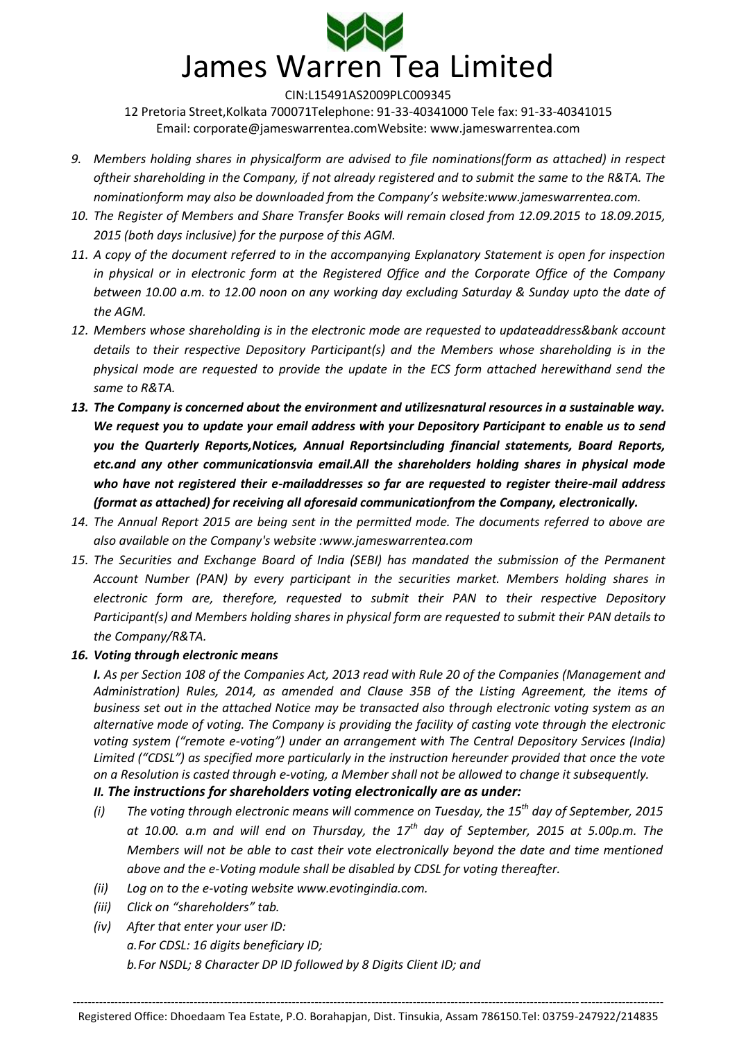

- *9. Members holding shares in physicalform are advised to file nominations(form as attached) in respect oftheir shareholding in the Company, if not already registered and to submit the same to the R&TA. The nominationform may also be downloaded from the Company's website:www.jameswarrentea.com.*
- *10. The Register of Members and Share Transfer Books will remain closed from 12.09.2015 to 18.09.2015, 2015 (both days inclusive) for the purpose of this AGM.*
- *11. A copy of the document referred to in the accompanying Explanatory Statement is open for inspection in physical or in electronic form at the Registered Office and the Corporate Office of the Company between 10.00 a.m. to 12.00 noon on any working day excluding Saturday & Sunday upto the date of the AGM.*
- *12. Members whose shareholding is in the electronic mode are requested to updateaddress&bank account details to their respective Depository Participant(s) and the Members whose shareholding is in the physical mode are requested to provide the update in the ECS form attached herewithand send the same to R&TA.*
- *13. The Company is concerned about the environment and utilizesnatural resources in a sustainable way. We request you to update your email address with your Depository Participant to enable us to send you the Quarterly Reports,Notices, Annual Reportsincluding financial statements, Board Reports, etc.and any other communicationsvia email.All the shareholders holding shares in physical mode who have not registered their e-mailaddresses so far are requested to register theire-mail address (format as attached) for receiving all aforesaid communicationfrom the Company, electronically.*
- *14. The Annual Report 2015 are being sent in the permitted mode. The documents referred to above are also available on the Company's website :www.jameswarrentea.com*
- *15. The Securities and Exchange Board of India (SEBI) has mandated the submission of the Permanent Account Number (PAN) by every participant in the securities market. Members holding shares in electronic form are, therefore, requested to submit their PAN to their respective Depository Participant(s) and Members holding shares in physical form are requested to submit their PAN details to the Company/R&TA.*

## *16. Voting through electronic means*

*I. As per Section 108 of the Companies Act, 2013 read with Rule 20 of the Companies (Management and Administration) Rules, 2014, as amended and Clause 35B of the Listing Agreement, the items of business set out in the attached Notice may be transacted also through electronic voting system as an alternative mode of voting. The Company is providing the facility of casting vote through the electronic voting system ("remote e-voting") under an arrangement with The Central Depository Services (India) Limited ("CDSL") as specified more particularly in the instruction hereunder provided that once the vote on a Resolution is casted through e-voting, a Member shall not be allowed to change it subsequently.* 

## *II. The instructions for shareholders voting electronically are as under:*

- *(i) The voting through electronic means will commence on Tuesday, the 15th day of September, 2015 at 10.00. a.m and will end on Thursday, the 17th day of September, 2015 at 5.00p.m. The Members will not be able to cast their vote electronically beyond the date and time mentioned above and the e-Voting module shall be disabled by CDSL for voting thereafter.*
- *(ii) Log on to the e-voting website www.evotingindia.com.*
- *(iii) Click on "shareholders" tab.*
- *(iv) After that enter your user ID: a.For CDSL: 16 digits beneficiary ID; b.For NSDL; 8 Character DP ID followed by 8 Digits Client ID; and*

------------------------------------------------------------------------------------------------------------------------------------------------------------ Registered Office: Dhoedaam Tea Estate, P.O. Borahapjan, Dist. Tinsukia, Assam 786150.Tel: 03759-247922/214835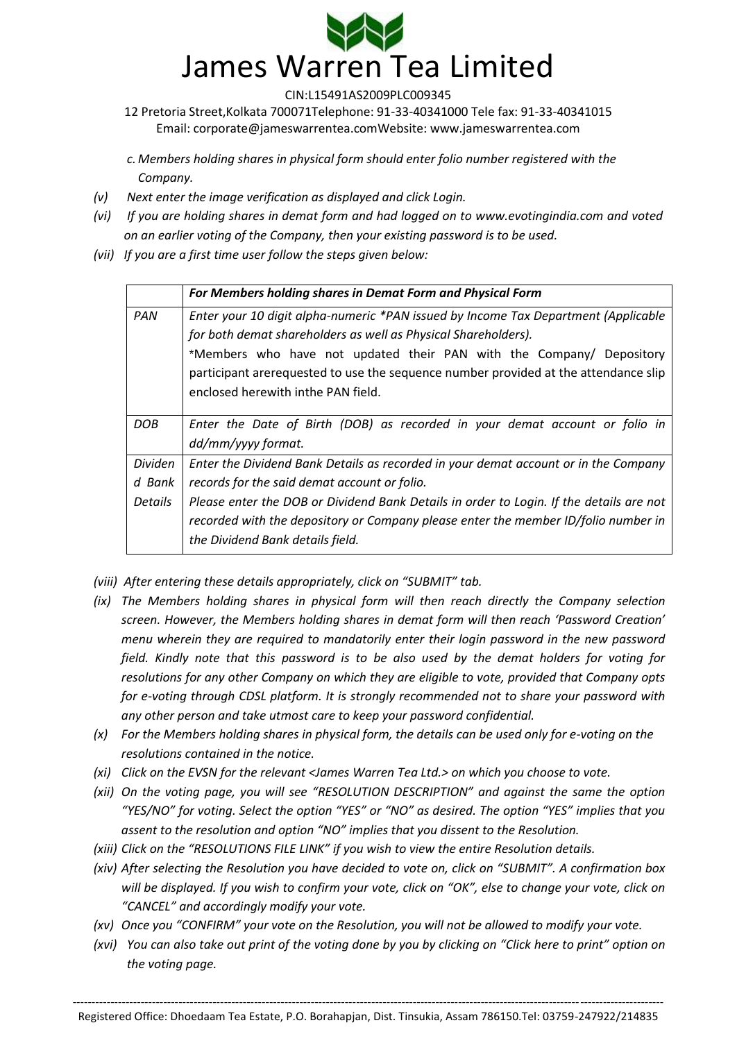

12 Pretoria Street,Kolkata 700071Telephone: 91-33-40341000 Tele fax: 91-33-40341015 Email: [corporate@jameswarrentea.comW](mailto:corporate@jameswarrentea.com)ebsite: www.jameswarrentea.com

*c. Members holding shares in physical form should enter folio number registered with the Company.*

- *(v) Next enter the image verification as displayed and click Login.*
- *(vi) If you are holding shares in demat form and had logged on to www.evotingindia.com and voted on an earlier voting of the Company, then your existing password is to be used.*
- *(vii) If you are a first time user follow the steps given below:*

|                | For Members holding shares in Demat Form and Physical Form                                                                                                                                                                                                                                                                                                |
|----------------|-----------------------------------------------------------------------------------------------------------------------------------------------------------------------------------------------------------------------------------------------------------------------------------------------------------------------------------------------------------|
| PAN            | Enter your 10 digit alpha-numeric *PAN issued by Income Tax Department (Applicable<br>for both demat shareholders as well as Physical Shareholders).<br>*Members who have not updated their PAN with the Company/ Depository<br>participant arerequested to use the sequence number provided at the attendance slip<br>enclosed herewith inthe PAN field. |
| DOB            | Enter the Date of Birth (DOB) as recorded in your demat account or folio in<br>dd/mm/yyyy format.                                                                                                                                                                                                                                                         |
| <b>Dividen</b> | Enter the Dividend Bank Details as recorded in your demat account or in the Company                                                                                                                                                                                                                                                                       |
| d Bank         | records for the said demat account or folio.                                                                                                                                                                                                                                                                                                              |
| <b>Details</b> | Please enter the DOB or Dividend Bank Details in order to Login. If the details are not<br>recorded with the depository or Company please enter the member ID/folio number in<br>the Dividend Bank details field.                                                                                                                                         |

*(viii) After entering these details appropriately, click on "SUBMIT" tab.*

- *(ix) The Members holding shares in physical form will then reach directly the Company selection screen. However, the Members holding shares in demat form will then reach 'Password Creation' menu wherein they are required to mandatorily enter their login password in the new password field. Kindly note that this password is to be also used by the demat holders for voting for resolutions for any other Company on which they are eligible to vote, provided that Company opts for e-voting through CDSL platform. It is strongly recommended not to share your password with any other person and take utmost care to keep your password confidential.*
- *(x) For the Members holding shares in physical form, the details can be used only for e-voting on the resolutions contained in the notice.*
- *(xi) Click on the EVSN for the relevant <James Warren Tea Ltd.> on which you choose to vote.*
- *(xii) On the voting page, you will see "RESOLUTION DESCRIPTION" and against the same the option "YES/NO" for voting. Select the option "YES" or "NO" as desired. The option "YES" implies that you assent to the resolution and option "NO" implies that you dissent to the Resolution.*
- *(xiii) Click on the "RESOLUTIONS FILE LINK" if you wish to view the entire Resolution details.*
- *(xiv) After selecting the Resolution you have decided to vote on, click on "SUBMIT". A confirmation box will be displayed. If you wish to confirm your vote, click on "OK", else to change your vote, click on "CANCEL" and accordingly modify your vote.*
- *(xv) Once you "CONFIRM" your vote on the Resolution, you will not be allowed to modify your vote.*
- *(xvi) You can also take out print of the voting done by you by clicking on "Click here to print" option on the voting page.*

------------------------------------------------------------------------------------------------------------------------------------------------------------ Registered Office: Dhoedaam Tea Estate, P.O. Borahapjan, Dist. Tinsukia, Assam 786150.Tel: 03759-247922/214835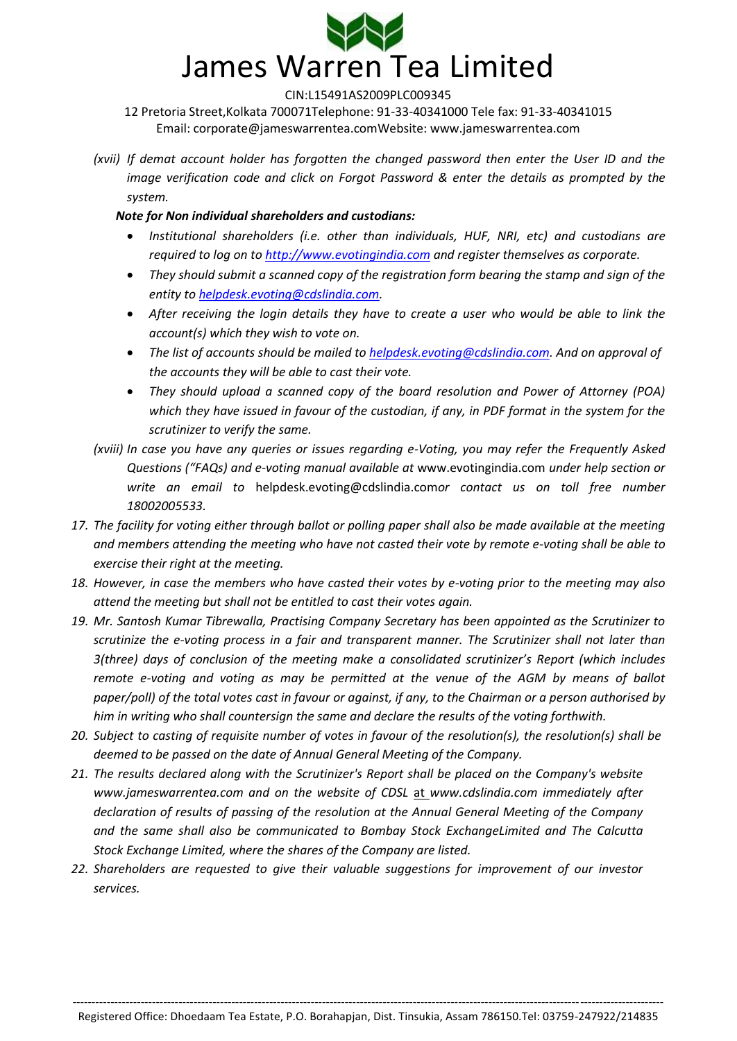

12 Pretoria Street,Kolkata 700071Telephone: 91-33-40341000 Tele fax: 91-33-40341015 Email: [corporate@jameswarrentea.comW](mailto:corporate@jameswarrentea.com)ebsite: www.jameswarrentea.com

*(xvii) If demat account holder has forgotten the changed password then enter the User ID and the image verification code and click on Forgot Password & enter the details as prompted by the system.*

## *Note for Non individual shareholders and custodians:*

- *Institutional shareholders (i.e. other than individuals, HUF, NRI, etc) and custodians are required to log on t[o http://www.evotingindia.com](http://www.evotingindia.co.in/) and register themselves as corporate.*
- *They should submit a scanned copy of the registration form bearing the stamp and sign of the entity t[o helpdesk.evoting@cdslindia.com.](mailto:helpdesk.evoting@cdslindia.com)*
- *After receiving the login details they have to create a user who would be able to link the account(s) which they wish to vote on.*
- *The list of accounts should be mailed t[o helpdesk.evoting@cdslindia.com.](mailto:helpdesk.evoting@cdslindia.com) And on approval of the accounts they will be able to cast their vote.*
- *They should upload a scanned copy of the board resolution and Power of Attorney (POA) which they have issued in favour of the custodian, if any, in PDF format in the system for the scrutinizer to verify the same.*
- *(xviii) In case you have any queries or issues regarding e-Voting, you may refer the Frequently Asked Questions ("FAQs) and e-voting manual available at* [www.evotingindia.com](http://www.evotingindia.co.in/) *under help section or write an email to* [helpdesk.evoting@cdslindia.com](mailto:helpdesk.evoting@cdslindia.com)*or contact us on toll free number 18002005533.*
- *17. The facility for voting either through ballot or polling paper shall also be made available at the meeting and members attending the meeting who have not casted their vote by remote e-voting shall be able to exercise their right at the meeting.*
- *18. However, in case the members who have casted their votes by e-voting prior to the meeting may also attend the meeting but shall not be entitled to cast their votes again.*
- *19. Mr. Santosh Kumar Tibrewalla, Practising Company Secretary has been appointed as the Scrutinizer to scrutinize the e-voting process in a fair and transparent manner. The Scrutinizer shall not later than 3(three) days of conclusion of the meeting make a consolidated scrutinizer's Report (which includes remote e-voting and voting as may be permitted at the venue of the AGM by means of ballot paper/poll) of the total votes cast in favour or against, if any, to the Chairman or a person authorised by him in writing who shall countersign the same and declare the results of the voting forthwith.*
- *20. Subject to casting of requisite number of votes in favour of the resolution(s), the resolution(s) shall be deemed to be passed on the date of Annual General Meeting of the Company.*
- *21. The results declared along with the Scrutinizer's Report shall be placed on the Company's website www.jameswarrentea.com and on the website of CDSL* at *www.cdslindia.com immediately after declaration of results of passing of the resolution at the Annual General Meeting of the Company and the same shall also be communicated to Bombay Stock ExchangeLimited and The Calcutta Stock Exchange Limited, where the shares of the Company are listed.*
- *22. Shareholders are requested to give their valuable suggestions for improvement of our investor services.*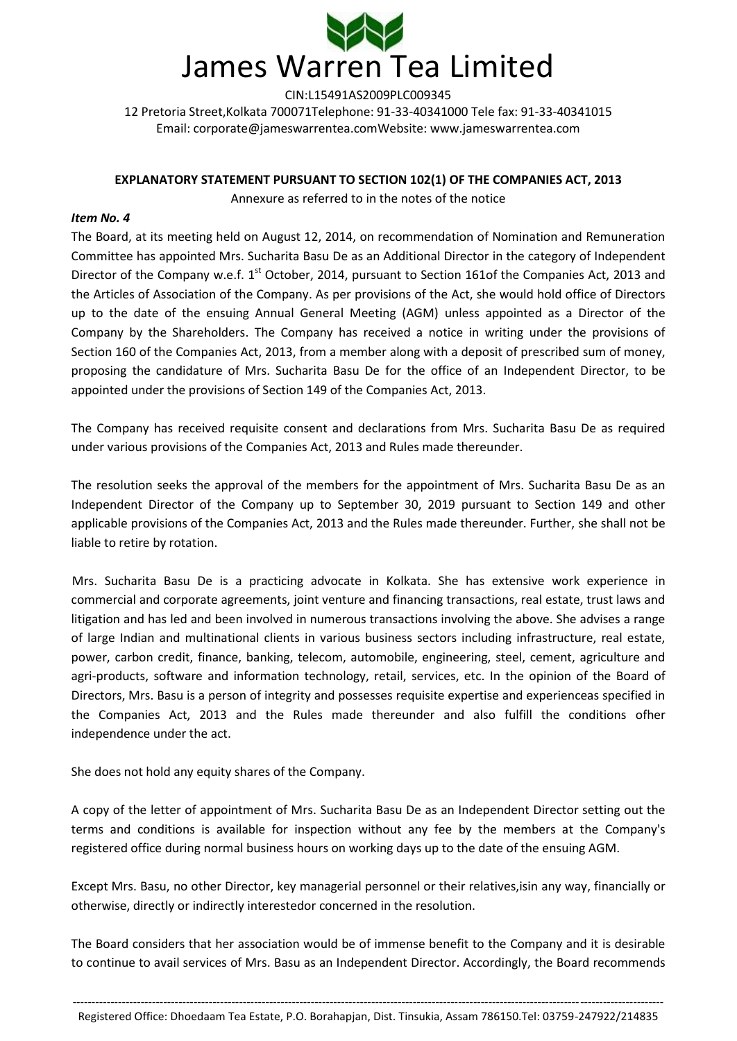

#### **EXPLANATORY STATEMENT PURSUANT TO SECTION 102(1) OF THE COMPANIES ACT, 2013**

Annexure as referred to in the notes of the notice

#### *Item No. 4*

The Board, at its meeting held on August 12, 2014, on recommendation of Nomination and Remuneration Committee has appointed Mrs. Sucharita Basu De as an Additional Director in the category of Independent Director of the Company w.e.f. 1<sup>st</sup> October, 2014, pursuant to Section 161of the Companies Act, 2013 and the Articles of Association of the Company. As per provisions of the Act, she would hold office of Directors up to the date of the ensuing Annual General Meeting (AGM) unless appointed as a Director of the Company by the Shareholders. The Company has received a notice in writing under the provisions of Section 160 of the Companies Act, 2013, from a member along with a deposit of prescribed sum of money, proposing the candidature of Mrs. Sucharita Basu De for the office of an Independent Director, to be appointed under the provisions of Section 149 of the Companies Act, 2013.

The Company has received requisite consent and declarations from Mrs. Sucharita Basu De as required under various provisions of the Companies Act, 2013 and Rules made thereunder.

The resolution seeks the approval of the members for the appointment of Mrs. Sucharita Basu De as an Independent Director of the Company up to September 30, 2019 pursuant to Section 149 and other applicable provisions of the Companies Act, 2013 and the Rules made thereunder. Further, she shall not be liable to retire by rotation.

Mrs. Sucharita Basu De is a practicing advocate in Kolkata. She has extensive work experience in commercial and corporate agreements, joint venture and financing transactions, real estate, trust laws and litigation and has led and been involved in numerous transactions involving the above. She advises a range of large Indian and multinational clients in various business sectors including infrastructure, real estate, power, carbon credit, finance, banking, telecom, automobile, engineering, steel, cement, agriculture and agri-products, software and information technology, retail, services, etc. In the opinion of the Board of Directors, Mrs. Basu is a person of integrity and possesses requisite expertise and experienceas specified in the Companies Act, 2013 and the Rules made thereunder and also fulfill the conditions ofher independence under the act.

She does not hold any equity shares of the Company.

A copy of the letter of appointment of Mrs. Sucharita Basu De as an Independent Director setting out the terms and conditions is available for inspection without any fee by the members at the Company's registered office during normal business hours on working days up to the date of the ensuing AGM.

Except Mrs. Basu, no other Director, key managerial personnel or their relatives,isin any way, financially or otherwise, directly or indirectly interestedor concerned in the resolution.

The Board considers that her association would be of immense benefit to the Company and it is desirable to continue to avail services of Mrs. Basu as an Independent Director. Accordingly, the Board recommends

<sup>------------------------------------------------------------------------------------------------------------------------------------------------------------</sup> Registered Office: Dhoedaam Tea Estate, P.O. Borahapjan, Dist. Tinsukia, Assam 786150.Tel: 03759-247922/214835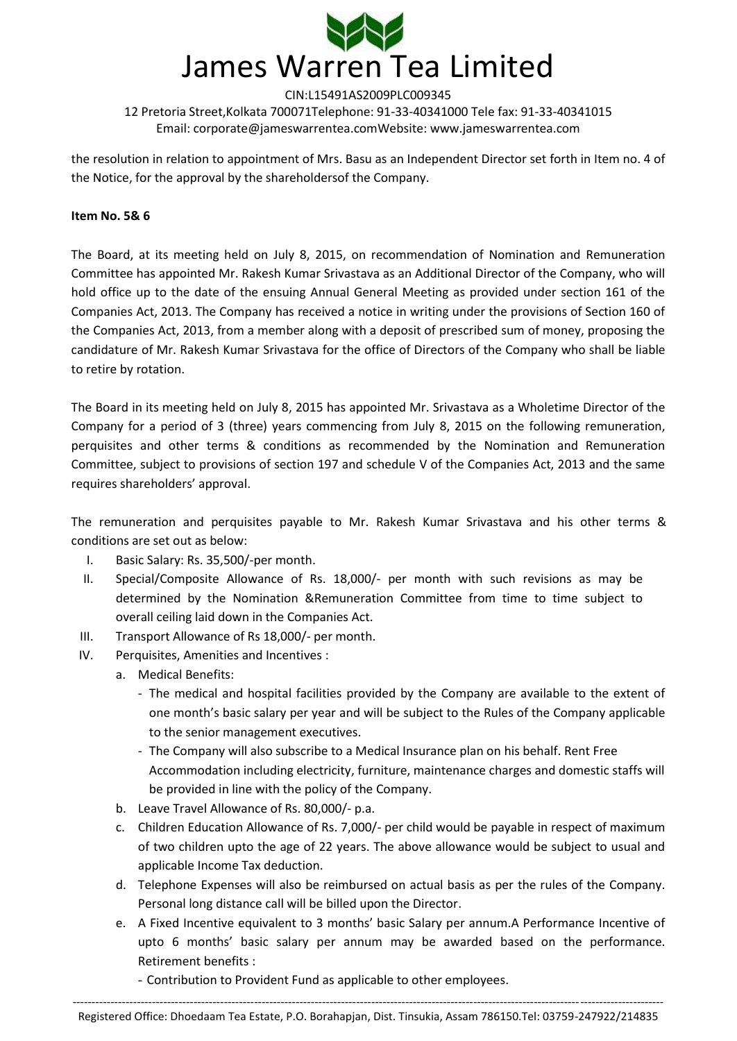

the resolution in relation to appointment of Mrs. Basu as an Independent Director set forth in Item no. 4 of the Notice, for the approval by the shareholdersof the Company.

#### **Item No. 5& 6**

The Board, at its meeting held on July 8, 2015, on recommendation of Nomination and Remuneration Committee has appointed Mr. Rakesh Kumar Srivastava as an Additional Director of the Company, who will hold office up to the date of the ensuing Annual General Meeting as provided under section 161 of the Companies Act, 2013. The Company has received a notice in writing under the provisions of Section 160 of the Companies Act, 2013, from a member along with a deposit of prescribed sum of money, proposing the candidature of Mr. Rakesh Kumar Srivastava for the office of Directors of the Company who shall be liable to retire by rotation.

The Board in its meeting held on July 8, 2015 has appointed Mr. Srivastava as a Wholetime Director of the Company for a period of 3 (three) years commencing from July 8, 2015 on the following remuneration, perquisites and other terms & conditions as recommended by the Nomination and Remuneration Committee, subject to provisions of section 197 and schedule V of the Companies Act, 2013 and the same requires shareholders' approval.

The remuneration and perquisites payable to Mr. Rakesh Kumar Srivastava and his other terms & conditions are set out as below:

- I. Basic Salary: Rs. 35,500/-per month.
- II. Special/Composite Allowance of Rs. 18,000/- per month with such revisions as may be determined by the Nomination &Remuneration Committee from time to time subject to overall ceiling laid down in the Companies Act.
- III. Transport Allowance of Rs 18,000/- per month.
- IV. Perquisites, Amenities and Incentives :
	- a. Medical Benefits:
		- The medical and hospital facilities provided by the Company are available to the extent of one month's basic salary per year and will be subject to the Rules of the Company applicable to the senior management executives.
		- The Company will also subscribe to a Medical Insurance plan on his behalf. Rent Free Accommodation including electricity, furniture, maintenance charges and domestic staffs will be provided in line with the policy of the Company.
	- b. Leave Travel Allowance of Rs. 80,000/- p.a.
	- c. Children Education Allowance of Rs. 7,000/- per child would be payable in respect of maximum of two children upto the age of 22 years. The above allowance would be subject to usual and applicable Income Tax deduction.
	- d. Telephone Expenses will also be reimbursed on actual basis as per the rules of the Company. Personal long distance call will be billed upon the Director.
	- e. A Fixed Incentive equivalent to 3 months' basic Salary per annum.A Performance Incentive of upto 6 months' basic salary per annum may be awarded based on the performance. Retirement benefits :
		- Contribution to Provident Fund as applicable to other employees.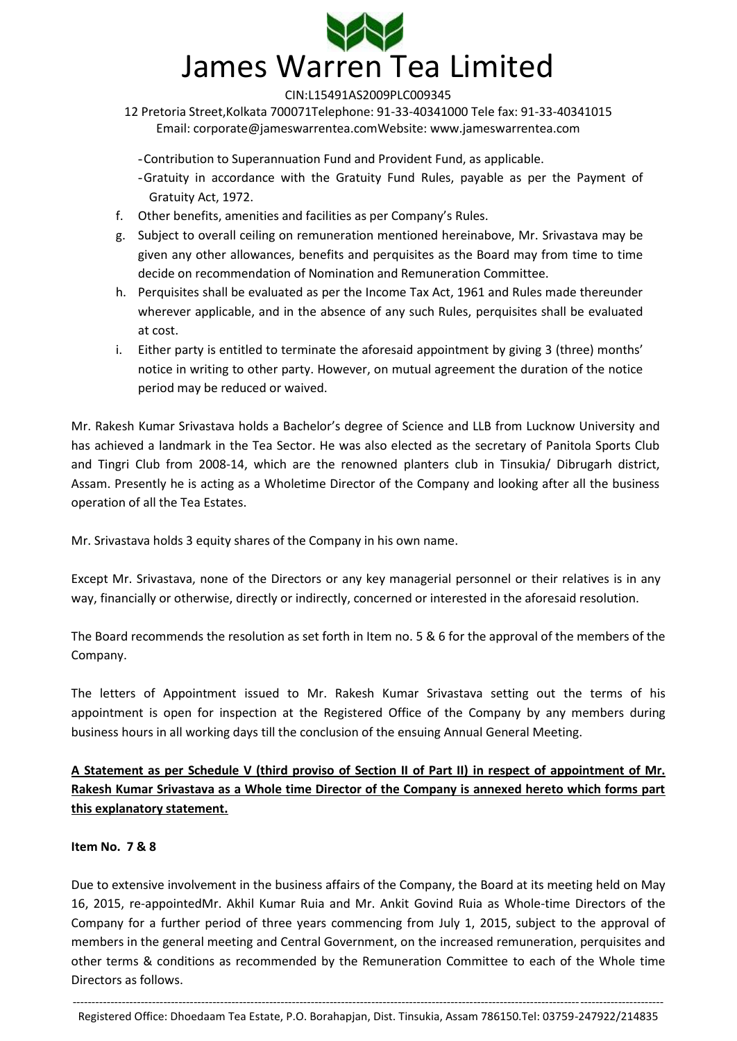

12 Pretoria Street,Kolkata 700071Telephone: 91-33-40341000 Tele fax: 91-33-40341015 Email: [corporate@jameswarrentea.comW](mailto:corporate@jameswarrentea.com)ebsite: www.jameswarrentea.com

-Contribution to Superannuation Fund and Provident Fund, as applicable.

-Gratuity in accordance with the Gratuity Fund Rules, payable as per the Payment of Gratuity Act, 1972.

- f. Other benefits, amenities and facilities as per Company's Rules.
- g. Subject to overall ceiling on remuneration mentioned hereinabove, Mr. Srivastava may be given any other allowances, benefits and perquisites as the Board may from time to time decide on recommendation of Nomination and Remuneration Committee.
- h. Perquisites shall be evaluated as per the Income Tax Act, 1961 and Rules made thereunder wherever applicable, and in the absence of any such Rules, perquisites shall be evaluated at cost.
- i. Either party is entitled to terminate the aforesaid appointment by giving 3 (three) months' notice in writing to other party. However, on mutual agreement the duration of the notice period may be reduced or waived.

Mr. Rakesh Kumar Srivastava holds a Bachelor's degree of Science and LLB from Lucknow University and has achieved a landmark in the Tea Sector. He was also elected as the secretary of Panitola Sports Club and Tingri Club from 2008-14, which are the renowned planters club in Tinsukia/ Dibrugarh district, Assam. Presently he is acting as a Wholetime Director of the Company and looking after all the business operation of all the Tea Estates.

Mr. Srivastava holds 3 equity shares of the Company in his own name.

Except Mr. Srivastava, none of the Directors or any key managerial personnel or their relatives is in any way, financially or otherwise, directly or indirectly, concerned or interested in the aforesaid resolution.

The Board recommends the resolution as set forth in Item no. 5 & 6 for the approval of the members of the Company.

The letters of Appointment issued to Mr. Rakesh Kumar Srivastava setting out the terms of his appointment is open for inspection at the Registered Office of the Company by any members during business hours in all working days till the conclusion of the ensuing Annual General Meeting.

**A Statement as per Schedule V (third proviso of Section II of Part II) in respect of appointment of Mr. Rakesh Kumar Srivastava as a Whole time Director of the Company is annexed hereto which forms part this explanatory statement.**

#### **Item No. 7 & 8**

Due to extensive involvement in the business affairs of the Company, the Board at its meeting held on May 16, 2015, re-appointedMr. Akhil Kumar Ruia and Mr. Ankit Govind Ruia as Whole-time Directors of the Company for a further period of three years commencing from July 1, 2015, subject to the approval of members in the general meeting and Central Government, on the increased remuneration, perquisites and other terms & conditions as recommended by the Remuneration Committee to each of the Whole time Directors as follows.

<sup>------------------------------------------------------------------------------------------------------------------------------------------------------------</sup> Registered Office: Dhoedaam Tea Estate, P.O. Borahapjan, Dist. Tinsukia, Assam 786150.Tel: 03759-247922/214835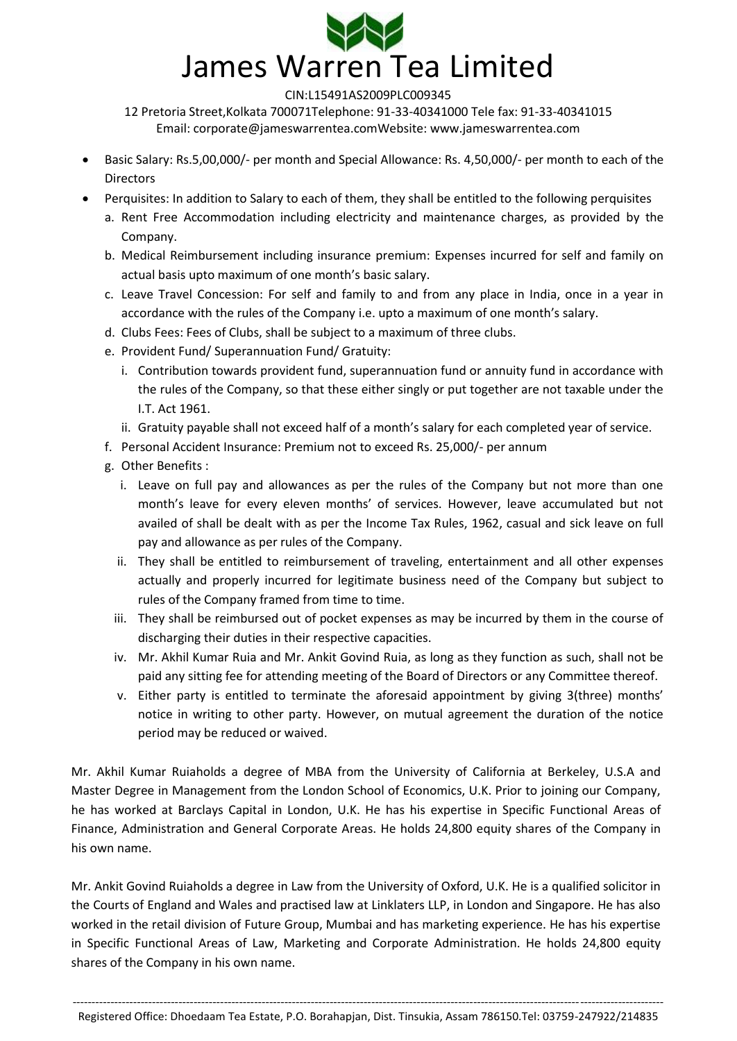

12 Pretoria Street,Kolkata 700071Telephone: 91-33-40341000 Tele fax: 91-33-40341015 Email: [corporate@jameswarrentea.comW](mailto:corporate@jameswarrentea.com)ebsite: www.jameswarrentea.com

- Basic Salary: Rs.5,00,000/- per month and Special Allowance: Rs. 4,50,000/- per month to each of the **Directors**
- Perquisites: In addition to Salary to each of them, they shall be entitled to the following perquisites
	- a. Rent Free Accommodation including electricity and maintenance charges, as provided by the Company.
	- b. Medical Reimbursement including insurance premium: Expenses incurred for self and family on actual basis upto maximum of one month's basic salary.
	- c. Leave Travel Concession: For self and family to and from any place in India, once in a year in accordance with the rules of the Company i.e. upto a maximum of one month's salary.
	- d. Clubs Fees: Fees of Clubs, shall be subject to a maximum of three clubs.
	- e. Provident Fund/ Superannuation Fund/ Gratuity:
		- i. Contribution towards provident fund, superannuation fund or annuity fund in accordance with the rules of the Company, so that these either singly or put together are not taxable under the I.T. Act 1961.
		- ii. Gratuity payable shall not exceed half of a month's salary for each completed year of service.
	- f. Personal Accident Insurance: Premium not to exceed Rs. 25,000/- per annum
	- g. Other Benefits :
		- i. Leave on full pay and allowances as per the rules of the Company but not more than one month's leave for every eleven months' of services. However, leave accumulated but not availed of shall be dealt with as per the Income Tax Rules, 1962, casual and sick leave on full pay and allowance as per rules of the Company.
		- ii. They shall be entitled to reimbursement of traveling, entertainment and all other expenses actually and properly incurred for legitimate business need of the Company but subject to rules of the Company framed from time to time.
		- iii. They shall be reimbursed out of pocket expenses as may be incurred by them in the course of discharging their duties in their respective capacities.
		- iv. Mr. Akhil Kumar Ruia and Mr. Ankit Govind Ruia, as long as they function as such, shall not be paid any sitting fee for attending meeting of the Board of Directors or any Committee thereof.
		- v. Either party is entitled to terminate the aforesaid appointment by giving 3(three) months' notice in writing to other party. However, on mutual agreement the duration of the notice period may be reduced or waived.

Mr. Akhil Kumar Ruiaholds a degree of MBA from the University of California at Berkeley, U.S.A and Master Degree in Management from the London School of Economics, U.K. Prior to joining our Company, he has worked at Barclays Capital in London, U.K. He has his expertise in Specific Functional Areas of Finance, Administration and General Corporate Areas. He holds 24,800 equity shares of the Company in his own name.

Mr. Ankit Govind Ruiaholds a degree in Law from the University of Oxford, U.K. He is a qualified solicitor in the Courts of England and Wales and practised law at Linklaters LLP, in London and Singapore. He has also worked in the retail division of Future Group, Mumbai and has marketing experience. He has his expertise in Specific Functional Areas of Law, Marketing and Corporate Administration. He holds 24,800 equity shares of the Company in his own name.

<sup>------------------------------------------------------------------------------------------------------------------------------------------------------------</sup> Registered Office: Dhoedaam Tea Estate, P.O. Borahapjan, Dist. Tinsukia, Assam 786150.Tel: 03759-247922/214835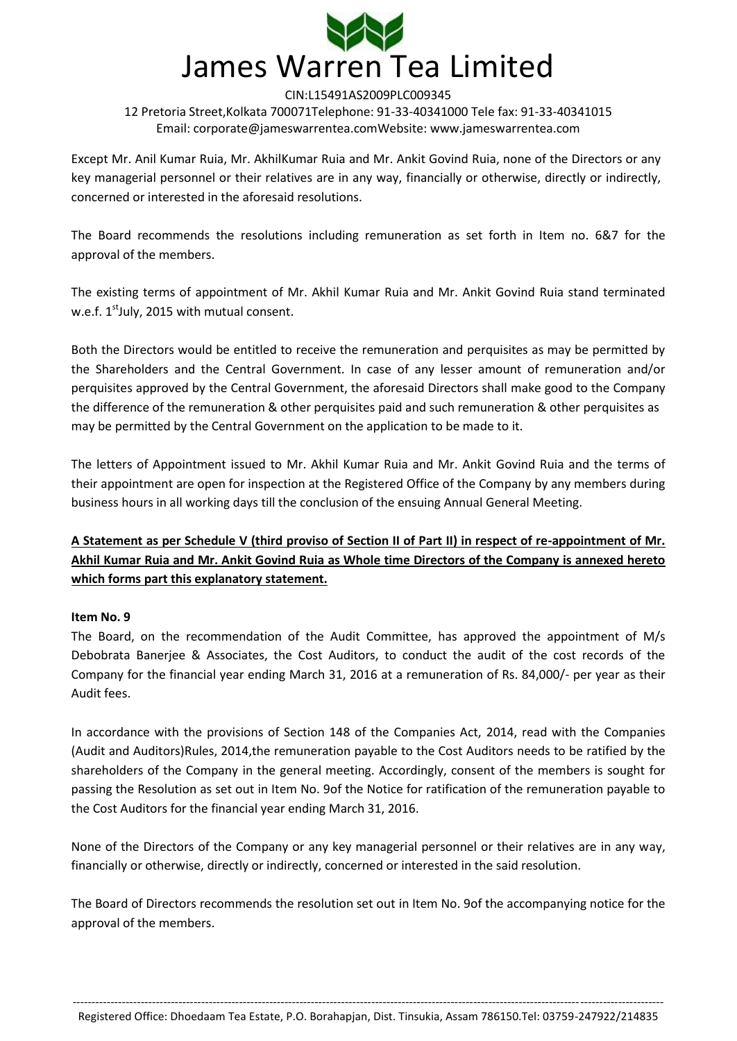

Except Mr. Anil Kumar Ruia, Mr. AkhilKumar Ruia and Mr. Ankit Govind Ruia, none of the Directors or any key managerial personnel or their relatives are in any way, financially or otherwise, directly or indirectly, concerned or interested in the aforesaid resolutions.

The Board recommends the resolutions including remuneration as set forth in Item no. 6&7 for the approval of the members.

The existing terms of appointment of Mr. Akhil Kumar Ruia and Mr. Ankit Govind Ruia stand terminated w.e.f.  $1^{\text{st}}$ July, 2015 with mutual consent.

Both the Directors would be entitled to receive the remuneration and perquisites as may be permitted by the Shareholders and the Central Government. In case of any lesser amount of remuneration and/or perquisites approved by the Central Government, the aforesaid Directors shall make good to the Company the difference of the remuneration & other perquisites paid and such remuneration & other perquisites as may be permitted by the Central Government on the application to be made to it.

The letters of Appointment issued to Mr. Akhil Kumar Ruia and Mr. Ankit Govind Ruia and the terms of their appointment are open for inspection at the Registered Office of the Company by any members during business hours in all working days till the conclusion of the ensuing Annual General Meeting.

# **A Statement as per Schedule V (third proviso of Section II of Part II) in respect of re-appointment of Mr. Akhil Kumar Ruia and Mr. Ankit Govind Ruia as Whole time Directors of the Company is annexed hereto which forms part this explanatory statement.**

## **Item No. 9**

The Board, on the recommendation of the Audit Committee, has approved the appointment of M/s Debobrata Banerjee & Associates, the Cost Auditors, to conduct the audit of the cost records of the Company for the financial year ending March 31, 2016 at a remuneration of Rs. 84,000/- per year as their Audit fees.

In accordance with the provisions of Section 148 of the Companies Act, 2014, read with the Companies (Audit and Auditors)Rules, 2014,the remuneration payable to the Cost Auditors needs to be ratified by the shareholders of the Company in the general meeting. Accordingly, consent of the members is sought for passing the Resolution as set out in Item No. 9of the Notice for ratification of the remuneration payable to the Cost Auditors for the financial year ending March 31, 2016.

None of the Directors of the Company or any key managerial personnel or their relatives are in any way, financially or otherwise, directly or indirectly, concerned or interested in the said resolution.

The Board of Directors recommends the resolution set out in Item No. 9of the accompanying notice for the approval of the members.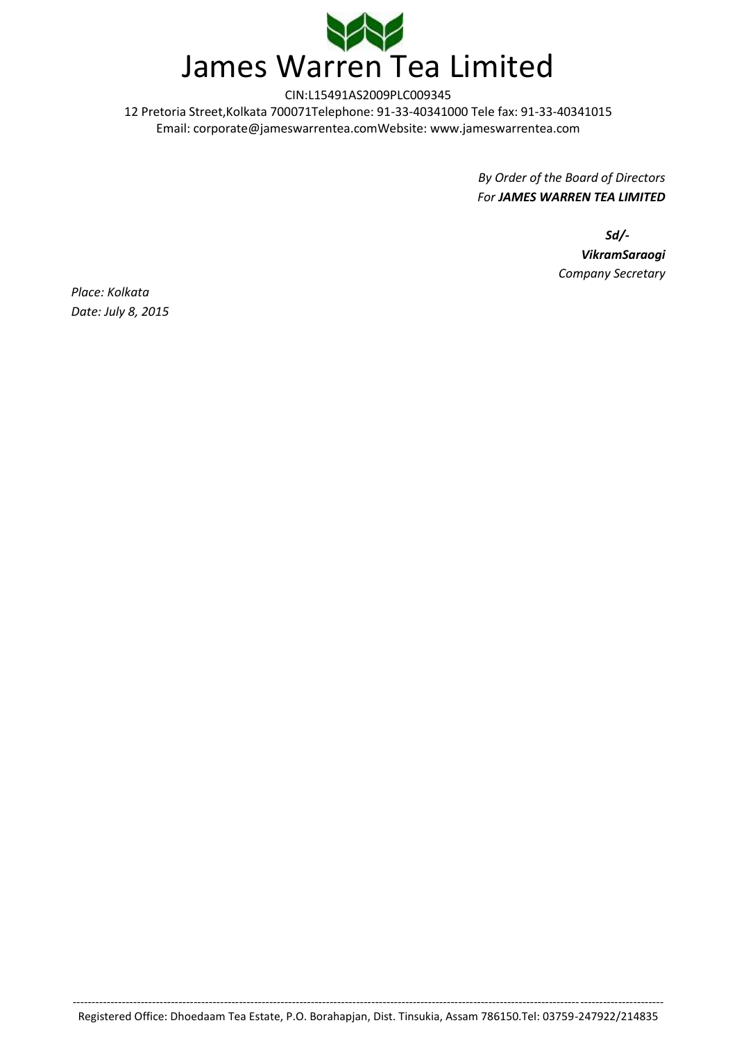

> *By Order of the Board of Directors For JAMES WARREN TEA LIMITED*

> > *Sd/- VikramSaraogi Company Secretary*

*Place: Kolkata Date: July 8, 2015*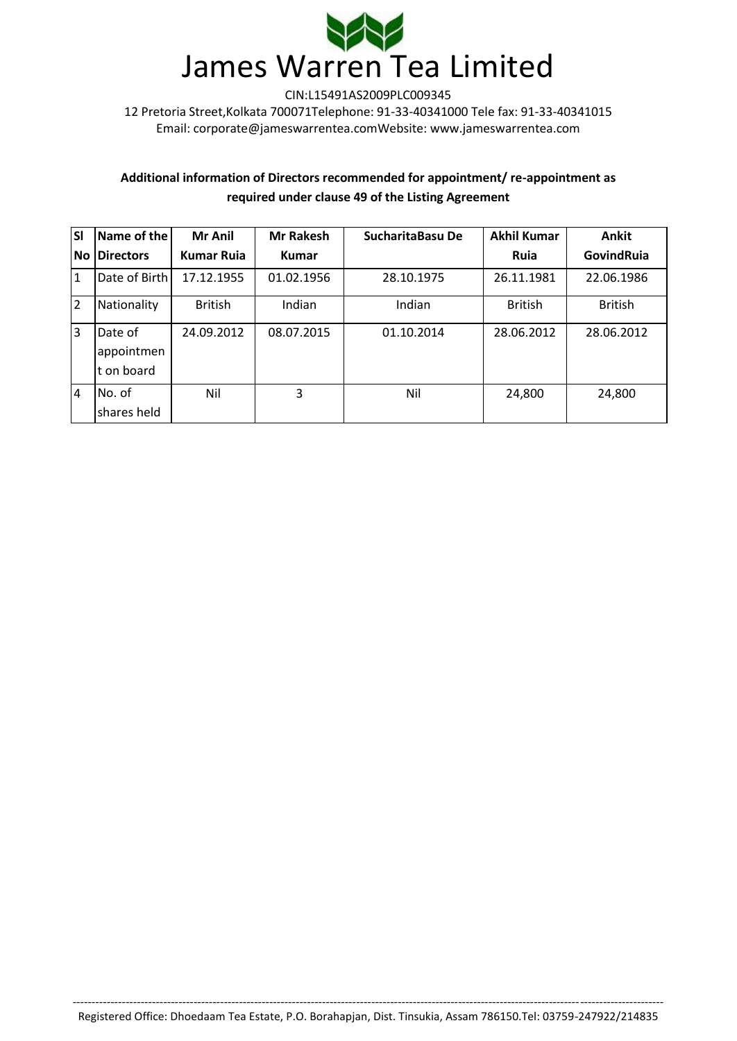

# **Additional information of Directors recommended for appointment/ re-appointment as required under clause 49 of the Listing Agreement**

| <b>SI</b>      | Name of the                          | <b>Mr Anil</b>    | <b>Mr Rakesh</b> | <b>SucharitaBasu De</b> | <b>Akhil Kumar</b> | <b>Ankit</b>   |
|----------------|--------------------------------------|-------------------|------------------|-------------------------|--------------------|----------------|
| No             | <b>Directors</b>                     | <b>Kumar Ruja</b> | <b>Kumar</b>     |                         | Ruia               | GovindRuia     |
| 1              | Date of Birth                        | 17.12.1955        | 01.02.1956       | 28.10.1975              | 26.11.1981         | 22.06.1986     |
| 2              | Nationality                          | <b>British</b>    | Indian           | Indian                  | <b>British</b>     | <b>British</b> |
| <sub>3</sub>   | Date of<br>appointmen<br>It on board | 24.09.2012        | 08.07.2015       | 01.10.2014              | 28.06.2012         | 28.06.2012     |
| $\overline{4}$ | No. of<br>shares held                | Nil               | 3                | Nil                     | 24,800             | 24,800         |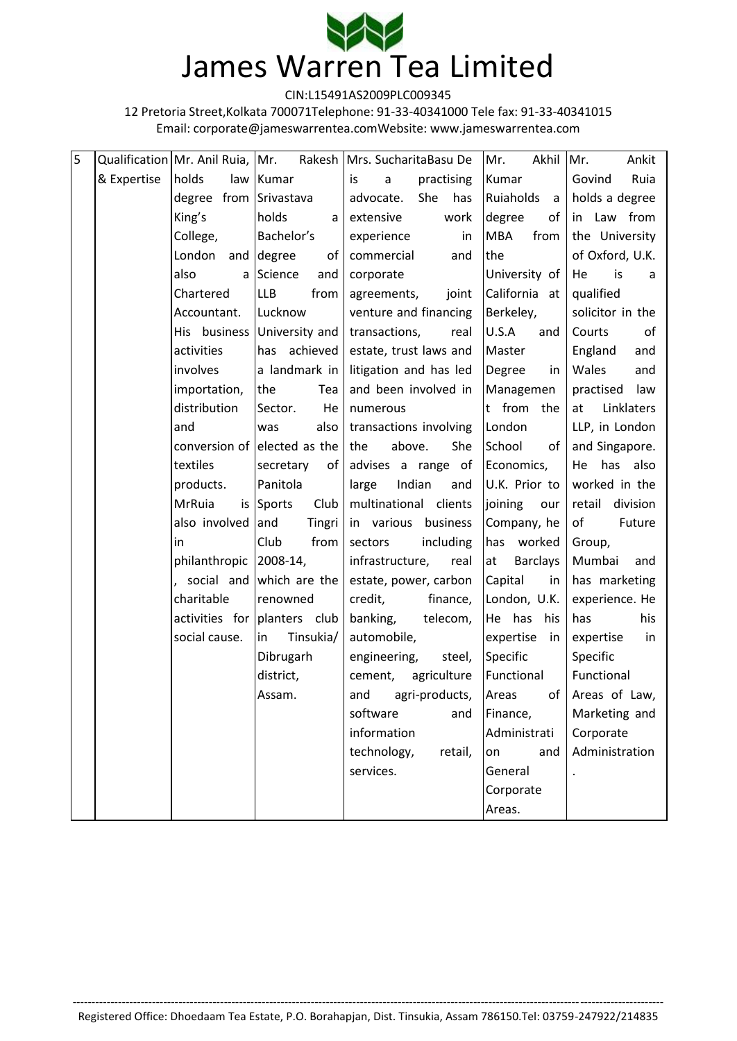

12 Pretoria Street,Kolkata 700071Telephone: 91-33-40341000 Tele fax: 91-33-40341015 Email: [corporate@jameswarrentea.comW](mailto:corporate@jameswarrentea.com)ebsite: www.jameswarrentea.com

| 5 |             | Qualification   Mr. Anil Ruia,   Mr. |                              | Rakesh   Mrs. SucharitaBasu De   | Mr.<br>Akhil          | Ankit<br>Mr.      |
|---|-------------|--------------------------------------|------------------------------|----------------------------------|-----------------------|-------------------|
|   | & Expertise | holds                                | law Kumar                    | is<br>$\mathsf{a}$<br>practising | Kumar                 | Ruia<br>Govind    |
|   |             | degree from Srivastava               |                              | She<br>advocate.<br>has          | Ruiaholds<br>a        | holds a degree    |
|   |             | King's                               | holds<br>a l                 | extensive<br>work                | of<br>degree          | in Law from       |
|   |             | College,                             | Bachelor's                   | experience<br>in                 | <b>MBA</b><br>from    | the University    |
|   |             | London                               | and degree<br>of             | commercial<br>and                | the                   | of Oxford, U.K.   |
|   |             | also                                 | a Science<br>and             | corporate                        | University of         | is<br>He<br>a     |
|   |             | Chartered                            | <b>LLB</b><br>from           | joint<br>agreements,             | California at         | qualified         |
|   |             | Accountant.                          | Lucknow                      | venture and financing            | Berkeley,             | solicitor in the  |
|   |             | His business                         | University and               | transactions,<br>real            | U.S.A<br>and          | Courts<br>of      |
|   |             | activities                           | has achieved                 | estate, trust laws and           | Master                | England<br>and    |
|   |             | involves                             | a landmark in                | litigation and has led           | Degree<br>in          | Wales<br>and      |
|   |             | importation,                         | the<br>Tea                   | and been involved in             | Managemen             | practised<br>law  |
|   |             | distribution                         | Sector.<br>He                | numerous                         | t from the            | Linklaters<br>at  |
|   |             | and                                  | also<br>was                  | transactions involving           | London                | LLP, in London    |
|   |             |                                      | conversion of elected as the | above.<br>She<br>the             | School<br>of          | and Singapore.    |
|   |             | textiles                             | secretary<br>of              | advises a range of               | Economics,            | has<br>also<br>He |
|   |             | products.                            | Panitola                     | Indian<br>large<br>and           | U.K. Prior to         | worked in the     |
|   |             | <b>MrRuia</b>                        | is Sports<br>Club            | multinational clients            | joining<br>our        | retail division   |
|   |             | also involved and                    | Tingri                       | in various<br>business           | Company, he           | of<br>Future      |
|   |             | in                                   | Club<br>from                 | sectors<br>including             | has worked            | Group,            |
|   |             | philanthropic 2008-14,               |                              | infrastructure,<br>real          | at<br><b>Barclays</b> | Mumbai<br>and     |
|   |             |                                      | , social and which are the   | estate, power, carbon            | Capital<br>in         | has marketing     |
|   |             | charitable                           | renowned                     | credit,<br>finance,              | London, U.K.          | experience. He    |
|   |             |                                      | activities for planters club | banking,<br>telecom,             | He has his            | his<br>has        |
|   |             | social cause.                        | Tinsukia/<br>in              | automobile,                      | expertise<br>in       | expertise<br>in   |
|   |             |                                      | Dibrugarh                    | engineering,<br>steel,           | Specific              | Specific          |
|   |             |                                      | district,                    | cement,<br>agriculture           | Functional            | Functional        |
|   |             |                                      | Assam.                       | and<br>agri-products,            | of<br>Areas           | Areas of Law,     |
|   |             |                                      |                              | software<br>and                  | Finance,              | Marketing and     |
|   |             |                                      |                              | information                      | Administrati          | Corporate         |
|   |             |                                      |                              | technology,<br>retail,           | on<br>and             | Administration    |
|   |             |                                      |                              | services.                        | General               |                   |
|   |             |                                      |                              |                                  | Corporate             |                   |
|   |             |                                      |                              |                                  | Areas.                |                   |

------------------------------------------------------------------------------------------------------------------------------------------------------------ Registered Office: Dhoedaam Tea Estate, P.O. Borahapjan, Dist. Tinsukia, Assam 786150.Tel: 03759-247922/214835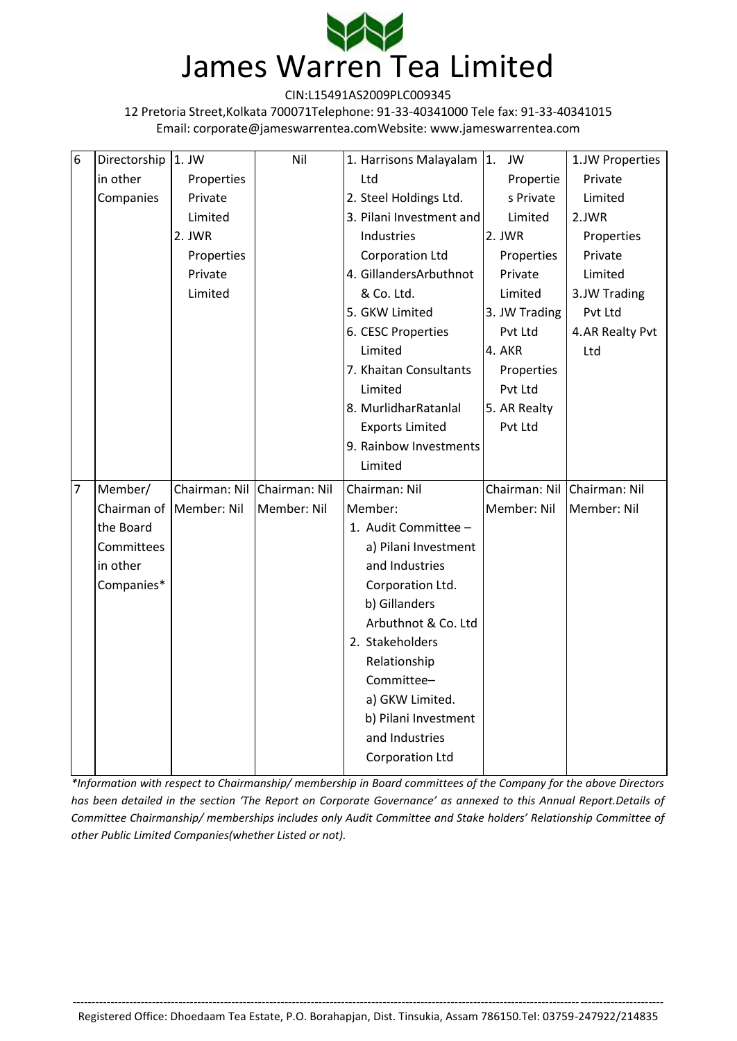

12 Pretoria Street,Kolkata 700071Telephone: 91-33-40341000 Tele fax: 91-33-40341015 Email: [corporate@jameswarrentea.comW](mailto:corporate@jameswarrentea.com)ebsite: www.jameswarrentea.com

| $6\phantom{1}6$ | Directorship   1. JW |                             | Nil         | 1. Harrisons Malayalam 1. | JW                          | 1.JW Properties |
|-----------------|----------------------|-----------------------------|-------------|---------------------------|-----------------------------|-----------------|
|                 | in other             | Properties                  |             | Ltd                       | Propertie                   | Private         |
|                 | Companies            | Private                     |             | 2. Steel Holdings Ltd.    | s Private                   | Limited         |
|                 |                      | Limited                     |             | 3. Pilani Investment and  | Limited                     | 2.JWR           |
|                 |                      | 2. JWR                      |             | Industries                | 2. JWR                      | Properties      |
|                 |                      | Properties                  |             | <b>Corporation Ltd</b>    | Properties                  | Private         |
|                 |                      | Private                     |             | 4. GillandersArbuthnot    | Private                     | Limited         |
|                 |                      | Limited                     |             | & Co. Ltd.                | Limited                     | 3.JW Trading    |
|                 |                      |                             |             | 5. GKW Limited            | 3. JW Trading               | Pvt Ltd         |
|                 |                      |                             |             | 6. CESC Properties        | Pvt Ltd                     | 4.AR Realty Pvt |
|                 |                      |                             |             | Limited                   | 4. AKR                      | Ltd             |
|                 |                      |                             |             | 7. Khaitan Consultants    | Properties                  |                 |
|                 |                      |                             |             | Limited                   | Pvt Ltd                     |                 |
|                 |                      |                             |             | 8. MurlidharRatanlal      | 5. AR Realty                |                 |
|                 |                      |                             |             | <b>Exports Limited</b>    | Pvt Ltd                     |                 |
|                 |                      |                             |             | 9. Rainbow Investments    |                             |                 |
|                 |                      |                             |             |                           |                             |                 |
|                 |                      |                             |             | Limited                   |                             |                 |
| 7               | Member/              | Chairman: Nil Chairman: Nil |             | Chairman: Nil             | Chairman: Nil Chairman: Nil |                 |
|                 |                      | Chairman of   Member: Nil   | Member: Nil | Member:                   | Member: Nil                 | Member: Nil     |
|                 | the Board            |                             |             | 1. Audit Committee -      |                             |                 |
|                 | Committees           |                             |             | a) Pilani Investment      |                             |                 |
|                 | in other             |                             |             | and Industries            |                             |                 |
|                 | Companies*           |                             |             | Corporation Ltd.          |                             |                 |
|                 |                      |                             |             | b) Gillanders             |                             |                 |
|                 |                      |                             |             | Arbuthnot & Co. Ltd       |                             |                 |
|                 |                      |                             |             | 2. Stakeholders           |                             |                 |
|                 |                      |                             |             | Relationship              |                             |                 |
|                 |                      |                             |             | Committee-                |                             |                 |
|                 |                      |                             |             | a) GKW Limited.           |                             |                 |
|                 |                      |                             |             | b) Pilani Investment      |                             |                 |
|                 |                      |                             |             | and Industries            |                             |                 |

*\*Information with respect to Chairmanship/ membership in Board committees of the Company for the above Directors has been detailed in the section 'The Report on Corporate Governance' as annexed to this Annual Report.Details of Committee Chairmanship/ memberships includes only Audit Committee and Stake holders' Relationship Committee of other Public Limited Companies(whether Listed or not).*

------------------------------------------------------------------------------------------------------------------------------------------------------------ Registered Office: Dhoedaam Tea Estate, P.O. Borahapjan, Dist. Tinsukia, Assam 786150.Tel: 03759-247922/214835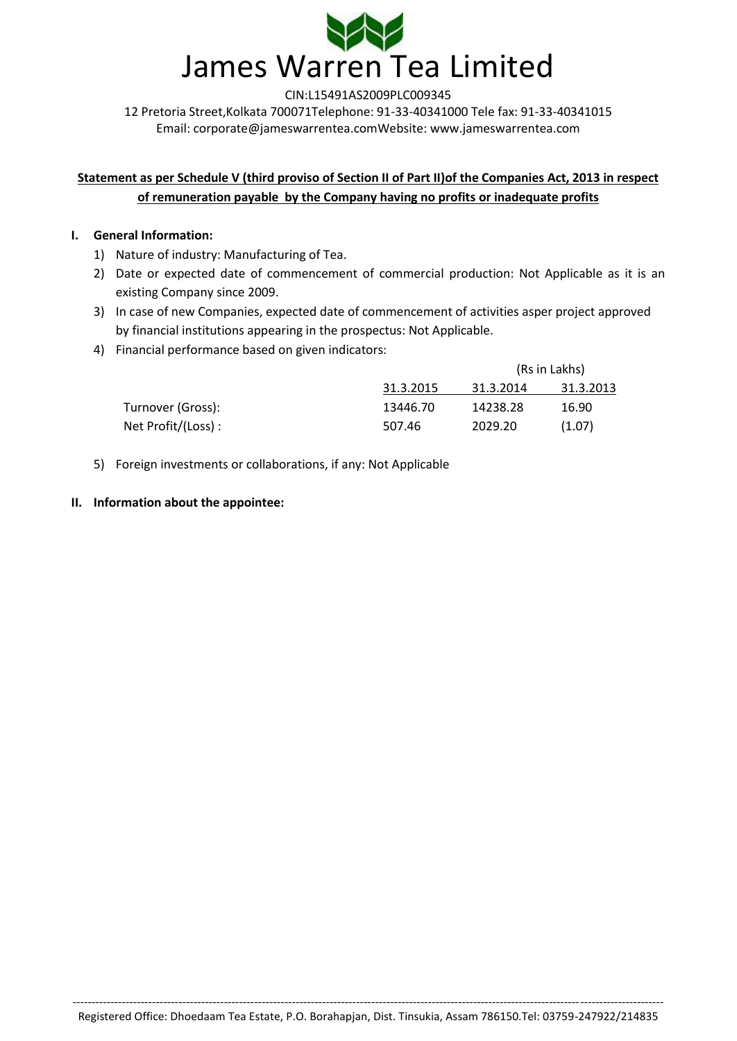

# **Statement as per Schedule V (third proviso of Section II of Part II)of the Companies Act, 2013 in respect of remuneration payable by the Company having no profits or inadequate profits**

## **I. General Information:**

- 1) Nature of industry: Manufacturing of Tea.
- 2) Date or expected date of commencement of commercial production: Not Applicable as it is an existing Company since 2009.
- 3) In case of new Companies, expected date of commencement of activities asper project approved by financial institutions appearing in the prospectus: Not Applicable.
- 4) Financial performance based on given indicators:

|                    |           | (Rs in Lakhs) |           |
|--------------------|-----------|---------------|-----------|
|                    | 31.3.2015 | 31.3.2014     | 31.3.2013 |
| Turnover (Gross):  | 13446.70  | 14238.28      | 16.90     |
| Net Profit/(Loss): | 507.46    | 2029.20       | (1.07)    |

5) Foreign investments or collaborations, if any: Not Applicable

## **II. Information about the appointee:**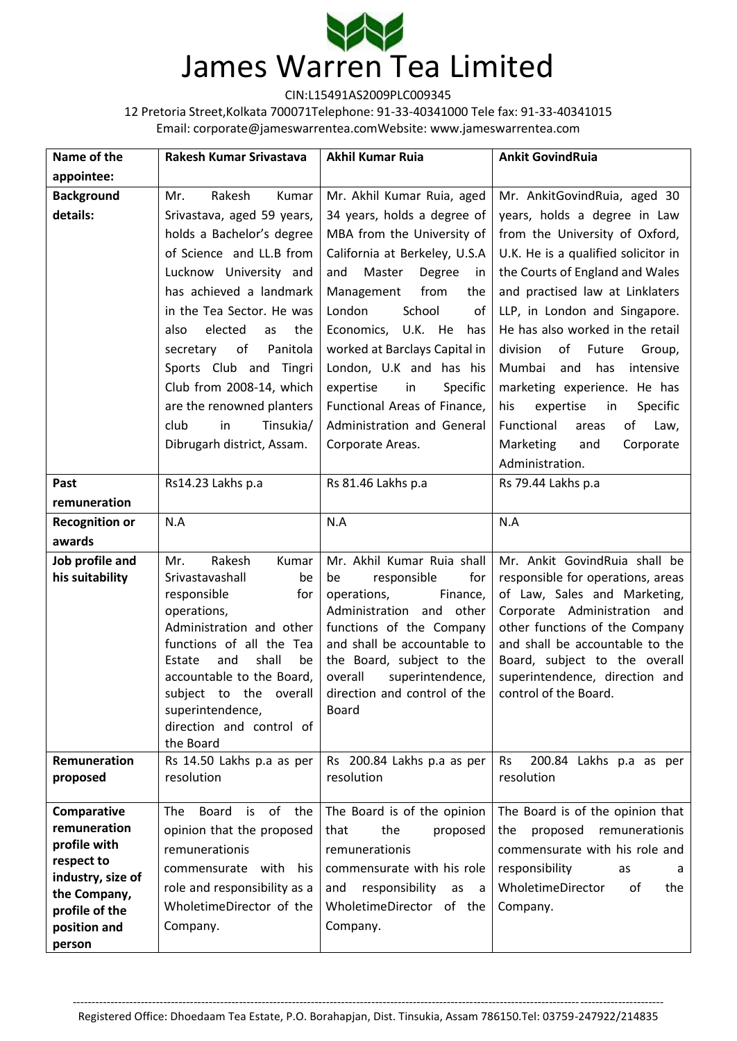

12 Pretoria Street,Kolkata 700071Telephone: 91-33-40341000 Tele fax: 91-33-40341015 Email: [corporate@jameswarrentea.comW](mailto:corporate@jameswarrentea.com)ebsite: www.jameswarrentea.com

| Name of the                     | Rakesh Kumar Srivastava                 | <b>Akhil Kumar Ruia</b>                                 | <b>Ankit GovindRuia</b>                                        |
|---------------------------------|-----------------------------------------|---------------------------------------------------------|----------------------------------------------------------------|
| appointee:                      |                                         |                                                         |                                                                |
| <b>Background</b>               | Rakesh<br>Mr.<br>Kumar                  | Mr. Akhil Kumar Ruia, aged                              | Mr. AnkitGovindRuia, aged 30                                   |
| details:                        | Srivastava, aged 59 years,              | 34 years, holds a degree of                             | years, holds a degree in Law                                   |
|                                 | holds a Bachelor's degree               | MBA from the University of                              | from the University of Oxford,                                 |
|                                 | of Science and LL.B from                | California at Berkeley, U.S.A                           | U.K. He is a qualified solicitor in                            |
|                                 | Lucknow University and                  | and<br>Master<br>Degree<br>in                           | the Courts of England and Wales                                |
|                                 | has achieved a landmark                 | Management<br>from<br>the                               | and practised law at Linklaters                                |
|                                 | in the Tea Sector. He was               | London<br>School<br>of                                  | LLP, in London and Singapore.                                  |
|                                 | elected<br>also<br>the<br>as            | Economics, U.K. He<br>has                               | He has also worked in the retail                               |
|                                 | of<br>Panitola<br>secretary             | worked at Barclays Capital in                           | division<br>of<br>Future<br>Group,                             |
|                                 | Sports Club and Tingri                  | London, U.K and has his                                 | Mumbai<br>and<br>has<br>intensive                              |
|                                 | Club from 2008-14, which                | expertise<br>in<br>Specific                             | marketing experience. He has                                   |
|                                 | are the renowned planters               | Functional Areas of Finance,                            | expertise<br>Specific<br>his<br>in                             |
|                                 | club<br>in<br>Tinsukia/                 | Administration and General                              | Functional<br>of<br>Law,<br>areas                              |
|                                 | Dibrugarh district, Assam.              | Corporate Areas.                                        | Marketing<br>and<br>Corporate                                  |
|                                 |                                         |                                                         | Administration.                                                |
| Past                            | Rs14.23 Lakhs p.a                       | Rs 81.46 Lakhs p.a                                      | Rs 79.44 Lakhs p.a                                             |
| remuneration                    |                                         |                                                         |                                                                |
| <b>Recognition or</b>           | N.A                                     | N.A                                                     | N.A                                                            |
| awards                          |                                         |                                                         |                                                                |
| Job profile and                 | Rakesh<br>Mr.<br>Kumar                  | Mr. Akhil Kumar Ruia shall                              | Mr. Ankit GovindRuia shall be                                  |
| his suitability                 | Srivastavashall<br>be                   | for<br>responsible<br>be                                | responsible for operations, areas                              |
|                                 | responsible<br>for                      | operations,<br>Finance,                                 | of Law, Sales and Marketing,                                   |
|                                 | operations,<br>Administration and other | Administration<br>and other<br>functions of the Company | Corporate Administration and<br>other functions of the Company |
|                                 | functions of all the Tea                | and shall be accountable to                             | and shall be accountable to the                                |
|                                 | Estate<br>and<br>shall<br>be            | the Board, subject to the                               | Board, subject to the overall                                  |
|                                 | accountable to the Board,               | overall<br>superintendence,                             | superintendence, direction and                                 |
|                                 | subject to the overall                  | direction and control of the                            | control of the Board.                                          |
|                                 | superintendence,                        | Board                                                   |                                                                |
|                                 | direction and control of<br>the Board   |                                                         |                                                                |
| Remuneration                    | Rs 14.50 Lakhs p.a as per               | Rs 200.84 Lakhs p.a as per                              | 200.84 Lakhs p.a as per<br><b>Rs</b>                           |
| proposed                        | resolution                              | resolution                                              | resolution                                                     |
|                                 |                                         |                                                         |                                                                |
| Comparative                     | Board<br>of<br>The<br>is<br>the         | The Board is of the opinion                             | The Board is of the opinion that                               |
| remuneration                    | opinion that the proposed               | the<br>that<br>proposed                                 | proposed<br>remunerationis<br>the                              |
| profile with                    | remunerationis                          | remunerationis                                          | commensurate with his role and                                 |
| respect to<br>industry, size of | commensurate with<br>his                | commensurate with his role                              | responsibility<br>as<br>a                                      |
| the Company,                    | role and responsibility as a            | responsibility<br>and<br>as<br>a -                      | WholetimeDirector<br>of<br>the                                 |
| profile of the                  | WholetimeDirector of the                | WholetimeDirector of the                                | Company.                                                       |
| position and                    | Company.                                | Company.                                                |                                                                |
| person                          |                                         |                                                         |                                                                |